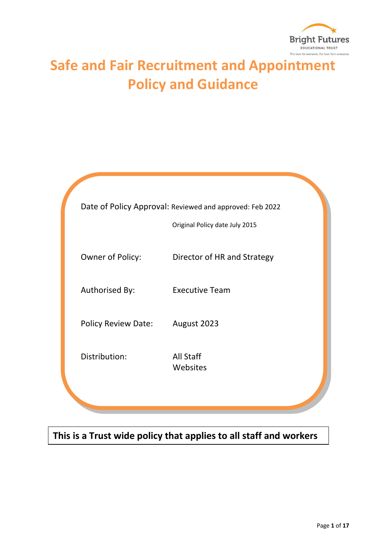

# **Safe and Fair Recruitment and Appointment Policy and Guidance**

|                            | Date of Policy Approval: Reviewed and approved: Feb 2022<br>Original Policy date July 2015 |
|----------------------------|--------------------------------------------------------------------------------------------|
| Owner of Policy:           | Director of HR and Strategy                                                                |
| Authorised By:             | <b>Executive Team</b>                                                                      |
| <b>Policy Review Date:</b> | August 2023                                                                                |
| Distribution:              | All Staff<br>Websites                                                                      |
|                            |                                                                                            |

# **This is a Trust wide policy that applies to all staff and workers**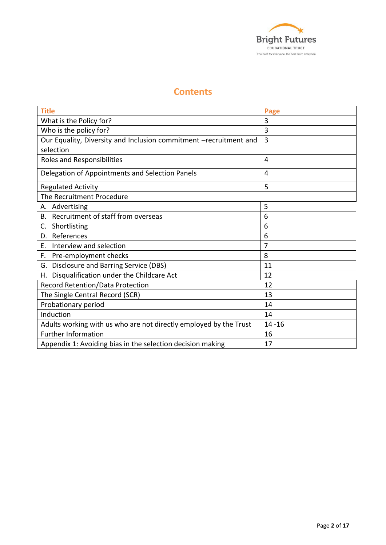

# **Contents**

| <b>Title</b>                                                      | Page           |
|-------------------------------------------------------------------|----------------|
| What is the Policy for?                                           | 3              |
| Who is the policy for?                                            | 3              |
| Our Equality, Diversity and Inclusion commitment -recruitment and | $\overline{3}$ |
| selection                                                         |                |
| Roles and Responsibilities                                        | 4              |
| Delegation of Appointments and Selection Panels                   | 4              |
| <b>Regulated Activity</b>                                         | 5              |
| The Recruitment Procedure                                         |                |
| Advertising<br>А.                                                 | 5              |
| Recruitment of staff from overseas<br>В.                          | 6              |
| Shortlisting<br>C.                                                | 6              |
| References<br>D.                                                  | 6              |
| Interview and selection<br>Ε.                                     | 7              |
| Pre-employment checks<br>F.                                       | 8              |
| G. Disclosure and Barring Service (DBS)                           | 11             |
| Disqualification under the Childcare Act<br>Н.                    | 12             |
| Record Retention/Data Protection                                  | 12             |
| The Single Central Record (SCR)                                   | 13             |
| Probationary period                                               | 14             |
| Induction                                                         | 14             |
| Adults working with us who are not directly employed by the Trust | $14 - 16$      |
| <b>Further Information</b>                                        | 16             |
| Appendix 1: Avoiding bias in the selection decision making        | 17             |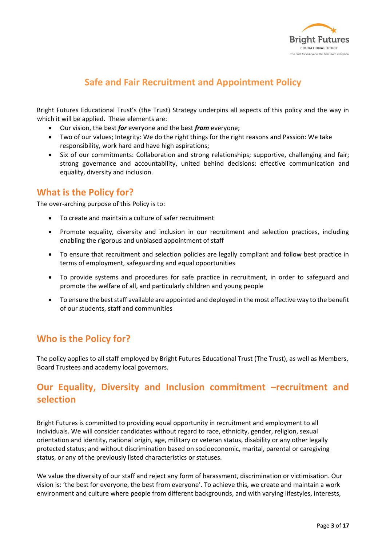

# **Safe and Fair Recruitment and Appointment Policy**

Bright Futures Educational Trust's (the Trust) Strategy underpins all aspects of this policy and the way in which it will be applied. These elements are:

- Our vision, the best *for* everyone and the best *from* everyone;
- Two of our values; Integrity: We do the right things for the right reasons and Passion: We take responsibility, work hard and have high aspirations;
- Six of our commitments: Collaboration and strong relationships; supportive, challenging and fair; strong governance and accountability, united behind decisions: effective communication and equality, diversity and inclusion.

# **What is the Policy for?**

The over-arching purpose of this Policy is to:

- To create and maintain a culture of safer recruitment
- Promote equality, diversity and inclusion in our recruitment and selection practices, including enabling the rigorous and unbiased appointment of staff
- To ensure that recruitment and selection policies are legally compliant and follow best practice in terms of employment, safeguarding and equal opportunities
- To provide systems and procedures for safe practice in recruitment, in order to safeguard and promote the welfare of all, and particularly children and young people
- To ensure the best staff available are appointed and deployed in the most effective way to the benefit of our students, staff and communities

# **Who is the Policy for?**

The policy applies to all staff employed by Bright Futures Educational Trust (The Trust), as well as Members, Board Trustees and academy local governors.

# **Our Equality, Diversity and Inclusion commitment –recruitment and selection**

Bright Futures is committed to providing equal opportunity in recruitment and employment to all individuals. We will consider candidates without regard to race, ethnicity, gender, religion, sexual orientation and identity, national origin, age, military or veteran status, disability or any other legally protected status; and without discrimination based on socioeconomic, marital, parental or caregiving status, or any of the previously listed characteristics or statuses.

We value the diversity of our staff and reject any form of harassment, discrimination or victimisation. Our vision is: 'the best for everyone, the best from everyone'. To achieve this, we create and maintain a work environment and culture where people from different backgrounds, and with varying lifestyles, interests,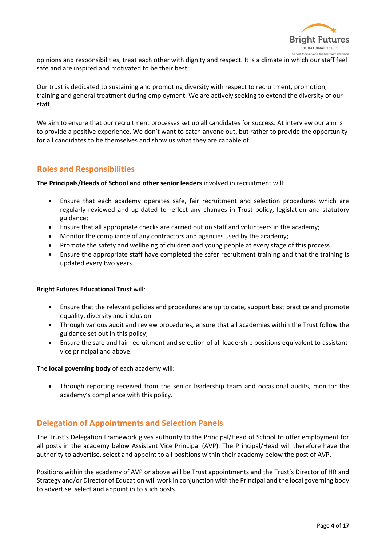

opinions and responsibilities, treat each other with dignity and respect. It is a climate in which our staff feel safe and are inspired and motivated to be their best.

Our trust is dedicated to sustaining and promoting diversity with respect to recruitment, promotion, training and general treatment during employment. We are actively seeking to extend the diversity of our staff.

We aim to ensure that our recruitment processes set up all candidates for success. At interview our aim is to provide a positive experience. We don't want to catch anyone out, but rather to provide the opportunity for all candidates to be themselves and show us what they are capable of.

### **Roles and Responsibilities**

**The Principals/Heads of School and other senior leaders** involved in recruitment will:

- Ensure that each academy operates safe, fair recruitment and selection procedures which are regularly reviewed and up-dated to reflect any changes in Trust policy, legislation and statutory guidance;
- Ensure that all appropriate checks are carried out on staff and volunteers in the academy;
- Monitor the compliance of any contractors and agencies used by the academy;
- Promote the safety and wellbeing of children and young people at every stage of this process.
- Ensure the appropriate staff have completed the safer recruitment training and that the training is updated every two years.

#### **Bright Futures Educational Trust** will:

- Ensure that the relevant policies and procedures are up to date, support best practice and promote equality, diversity and inclusion
- Through various audit and review procedures, ensure that all academies within the Trust follow the guidance set out in this policy;
- Ensure the safe and fair recruitment and selection of all leadership positions equivalent to assistant vice principal and above.

The **local governing body** of each academy will:

• Through reporting received from the senior leadership team and occasional audits, monitor the academy's compliance with this policy.

#### **Delegation of Appointments and Selection Panels**

The Trust's Delegation Framework gives authority to the Principal/Head of School to offer employment for all posts in the academy below Assistant Vice Principal (AVP). The Principal/Head will therefore have the authority to advertise, select and appoint to all positions within their academy below the post of AVP.

Positions within the academy of AVP or above will be Trust appointments and the Trust's Director of HR and Strategy and/or Director of Education will work in conjunction with the Principal and the local governing body to advertise, select and appoint in to such posts.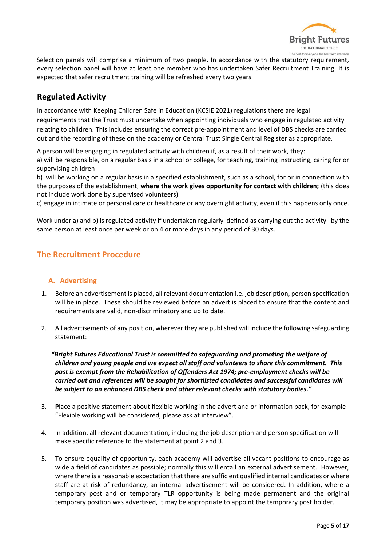

Selection panels will comprise a minimum of two people. In accordance with the statutory requirement, every selection panel will have at least one member who has undertaken Safer Recruitment Training. It is expected that safer recruitment training will be refreshed every two years.

## **Regulated Activity**

In accordance with Keeping Children Safe in Education (KCSIE 2021) regulations there are legal requirements that the Trust must undertake when appointing individuals who engage in regulated activity relating to children. This includes ensuring the correct pre-appointment and level of DBS checks are carried out and the recording of these on the academy or Central Trust Single Central Register as appropriate.

A person will be engaging in regulated activity with children if, as a result of their work, they:

a) will be responsible, on a regular basis in a school or college, for teaching, training instructing, caring for or supervising children

b) will be working on a regular basis in a specified establishment, such as a school, for or in connection with the purposes of the establishment, **where the work gives opportunity for contact with children;** (this does not include work done by supervised volunteers)

c) engage in intimate or personal care or healthcare or any overnight activity, even if this happens only once.

Work under a) and b) is regulated activity if undertaken regularly defined as carrying out the activity by the same person at least once per week or on 4 or more days in any period of 30 days.

### **The Recruitment Procedure**

#### **A. Advertising**

- 1. Before an advertisement is placed, all relevant documentation i.e. job description, person specification will be in place. These should be reviewed before an advert is placed to ensure that the content and requirements are valid, non-discriminatory and up to date.
- 2. All advertisements of any position, wherever they are published will include the following safeguarding statement:

 *"Bright Futures Educational Trust is committed to safeguarding and promoting the welfare of children and young people and we expect all staff and volunteers to share this commitment. This post is exempt from the Rehabilitation of Offenders Act 1974; pre-employment checks will be carried out and references will be sought for shortlisted candidates and successful candidates will be subject to an enhanced DBS check and other relevant checks with statutory bodies."* 

- 3. **P**lace a positive statement about flexible working in the advert and or information pack, for example "Flexible working will be considered, please ask at interview".
- 4. In addition, all relevant documentation, including the job description and person specification will make specific reference to the statement at point 2 and 3.
- 5. To ensure equality of opportunity, each academy will advertise all vacant positions to encourage as wide a field of candidates as possible; normally this will entail an external advertisement. However, where there is a reasonable expectation that there are sufficient qualified internal candidates or where staff are at risk of redundancy, an internal advertisement will be considered. In addition, where a temporary post and or temporary TLR opportunity is being made permanent and the original temporary position was advertised, it may be appropriate to appoint the temporary post holder.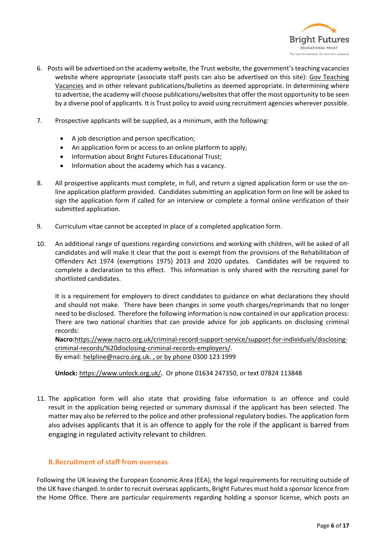

- 6. Posts will be advertised on the academy website, the Trust website, the government's teaching vacancies website where appropriate (associate staff posts can also be advertised on this site): [Gov Teaching](https://teaching-vacancies.service.gov.uk/?gclid=EAIaIQobChMIl9HpwJW37gIVQWHmCh0ziQDCEAAYASAAEgKDu_D_BwE&gclsrc=aw.ds)  [Vacancies](https://teaching-vacancies.service.gov.uk/?gclid=EAIaIQobChMIl9HpwJW37gIVQWHmCh0ziQDCEAAYASAAEgKDu_D_BwE&gclsrc=aw.ds) and in other relevant publications/bulletins as deemed appropriate. In determining where to advertise, the academy will choose publications/websites that offer the most opportunity to be seen by a diverse pool of applicants. It is Trust policy to avoid using recruitment agencies wherever possible.
- 7. Prospective applicants will be supplied, as a minimum, with the following:
	- A job description and person specification;
	- An application form or access to an online platform to apply;
	- Information about Bright Futures Educational Trust;
	- Information about the academy which has a vacancy.
- 8. All prospective applicants must complete, in full, and return a signed application form or use the online application platform provided. Candidates submitting an application form on line will be asked to sign the application form if called for an interview or complete a formal online verification of their submitted application.
- 9. Curriculum vitae cannot be accepted in place of a completed application form.
- 10. An additional range of questions regarding convictions and working with children, will be asked of all candidates and will make it clear that the post is exempt from the provisions of the Rehabilitation of Offenders Act 1974 (exemptions 1975) 2013 and 2020 updates. Candidates will be required to complete a declaration to this effect. This information is only shared with the recruiting panel for shortlisted candidates.

It is a requirement for employers to direct candidates to guidance on what declarations they should and should not make. There have been changes in some youth charges/reprimands that no longer need to be disclosed. Therefore the following information is now contained in our application process: There are two national charities that can provide advice for job applicants on disclosing criminal records:

**Nacro:**[https://www.nacro.org.uk/criminal-record-support-service/support-for-individuals/disclosing](https://www.nacro.org.uk/criminal-record-support-service/support-for-individuals/disclosing-criminal-records/%20disclosing-criminal-records-employers/)[criminal-records/%20disclosing-criminal-records-employers/.](https://www.nacro.org.uk/criminal-record-support-service/support-for-individuals/disclosing-criminal-records/%20disclosing-criminal-records-employers/) By email: [helpline@nacro.org.uk.](mailto:helpline@nacro.org.uk) , or by phone 0300 123 1999

**Unlock:** <https://www.unlock.org.uk/>**.** Or phone 01634 247350, or text 07824 113848

11. The application form will also state that providing false information is an offence and could result in the application being rejected or summary dismissal if the applicant has been selected. The matter may also be referred to the police and other professional regulatory bodies. The application form also advises applicants that it is an offence to apply for the role if the applicant is barred from engaging in regulated activity relevant to children.

#### **B.Recruitment of staff from overseas**

Following the UK leaving the European Economic Area (EEA), the legal requirements for recruiting outside of the UK have changed. In order to recruit overseas applicants, Bright Futures must hold a sponsor licence from the Home Office. There are particular requirements regarding holding a sponsor license, which posts an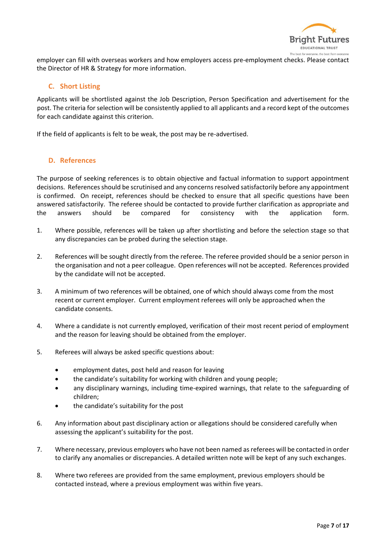

employer can fill with overseas workers and how employers access pre-employment checks. Please contact the Director of HR & Strategy for more information.

#### **C. Short Listing**

Applicants will be shortlisted against the Job Description, Person Specification and advertisement for the post. The criteria for selection will be consistently applied to all applicants and a record kept of the outcomes for each candidate against this criterion.

If the field of applicants is felt to be weak, the post may be re-advertised.

#### **D. References**

The purpose of seeking references is to obtain objective and factual information to support appointment decisions. References should be scrutinised and any concerns resolved satisfactorily before any appointment is confirmed. On receipt, references should be checked to ensure that all specific questions have been answered satisfactorily. The referee should be contacted to provide further clarification as appropriate and the answers should be compared for consistency with the application form.

- 1. Where possible, references will be taken up after shortlisting and before the selection stage so that any discrepancies can be probed during the selection stage.
- 2. References will be sought directly from the referee. The referee provided should be a senior person in the organisation and not a peer colleague. Open references will not be accepted. References provided by the candidate will not be accepted.
- 3. A minimum of two references will be obtained, one of which should always come from the most recent or current employer. Current employment referees will only be approached when the candidate consents.
- 4. Where a candidate is not currently employed, verification of their most recent period of employment and the reason for leaving should be obtained from the employer.
- 5. Referees will always be asked specific questions about:
	- employment dates, post held and reason for leaving
	- the candidate's suitability for working with children and young people;
	- any disciplinary warnings, including time-expired warnings, that relate to the safeguarding of children;
	- the candidate's suitability for the post
- 6. Any information about past disciplinary action or allegations should be considered carefully when assessing the applicant's suitability for the post.
- 7. Where necessary, previous employers who have not been named as referees will be contacted in order to clarify any anomalies or discrepancies. A detailed written note will be kept of any such exchanges.
- 8. Where two referees are provided from the same employment, previous employers should be contacted instead, where a previous employment was within five years.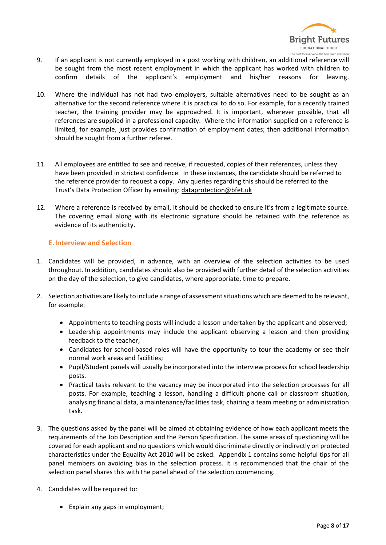

- 9. If an applicant is not currently employed in a post working with children, an additional reference will be sought from the most recent employment in which the applicant has worked with children to confirm details of the applicant's employment and his/her reasons for leaving.
- 10. Where the individual has not had two employers, suitable alternatives need to be sought as an alternative for the second reference where it is practical to do so. For example, for a recently trained teacher, the training provider may be approached. It is important, wherever possible, that all references are supplied in a professional capacity. Where the information supplied on a reference is limited, for example, just provides confirmation of employment dates; then additional information should be sought from a further referee.
- 11. All employees are entitled to see and receive, if requested, copies of their references, unless they have been provided in strictest confidence. In these instances, the candidate should be referred to the reference provider to request a copy. Any queries regarding this should be referred to the Trust's Data Protection Officer by emailing: [dataprotection@bfet.uk](mailto:dataprotection@bfet.uk)
- 12. Where a reference is received by email, it should be checked to ensure it's from a legitimate source. The covering email along with its electronic signature should be retained with the reference as evidence of its authenticity.

#### **E.Interview and Selection**

- 1. Candidates will be provided, in advance, with an overview of the selection activities to be used throughout. In addition, candidates should also be provided with further detail of the selection activities on the day of the selection, to give candidates, where appropriate, time to prepare.
- 2. Selection activities are likely to include a range of assessment situations which are deemed to be relevant, for example:
	- Appointments to teaching posts will include a lesson undertaken by the applicant and observed;
	- Leadership appointments may include the applicant observing a lesson and then providing feedback to the teacher;
	- Candidates for school-based roles will have the opportunity to tour the academy or see their normal work areas and facilities;
	- Pupil/Student panels will usually be incorporated into the interview process for school leadership posts.
	- Practical tasks relevant to the vacancy may be incorporated into the selection processes for all posts. For example, teaching a lesson, handling a difficult phone call or classroom situation, analysing financial data, a maintenance/facilities task, chairing a team meeting or administration task.
- 3. The questions asked by the panel will be aimed at obtaining evidence of how each applicant meets the requirements of the Job Description and the Person Specification. The same areas of questioning will be covered for each applicant and no questions which would discriminate directly or indirectly on protected characteristics under the Equality Act 2010 will be asked. Appendix 1 contains some helpful tips for all panel members on avoiding bias in the selection process. It is recommended that the chair of the selection panel shares this with the panel ahead of the selection commencing.
- 4. Candidates will be required to:
	- Explain any gaps in employment;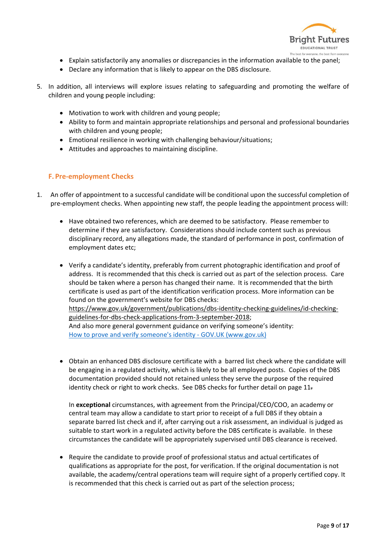

- Explain satisfactorily any anomalies or discrepancies in the information available to the panel;
- Declare any information that is likely to appear on the DBS disclosure.
- 5. In addition, all interviews will explore issues relating to safeguarding and promoting the welfare of children and young people including:
	- Motivation to work with children and young people;
	- Ability to form and maintain appropriate relationships and personal and professional boundaries with children and young people;
	- Emotional resilience in working with challenging behaviour/situations;
	- Attitudes and approaches to maintaining discipline.

#### **F. Pre-employment Checks**

- 1. An offer of appointment to a successful candidate will be conditional upon the successful completion of pre-employment checks. When appointing new staff, the people leading the appointment process will:
	- Have obtained two references, which are deemed to be satisfactory. Please remember to determine if they are satisfactory. Considerations should include content such as previous disciplinary record, any allegations made, the standard of performance in post, confirmation of employment dates etc;
	- Verify a candidate's identity, preferably from current photographic identification and proof of address. It is recommended that this check is carried out as part of the selection process. Care should be taken where a person has changed their name. It is recommended that the birth certificate is used as part of the identification verification process. More information can be found on the government's website for DBS checks: [https://www.gov.uk/government/publications/dbs-identity-checking-guidelines/id-checking](https://www.gov.uk/government/publications/dbs-identity-checking-guidelines/id-checking-guidelines-for-dbs-check-applications-from-3-september-2018)[guidelines-for-dbs-check-applications-from-3-september-2018;](https://www.gov.uk/government/publications/dbs-identity-checking-guidelines/id-checking-guidelines-for-dbs-check-applications-from-3-september-2018) And also more general government guidance on verifying someone's identity: [How to prove and verify someone's identity -](https://www.gov.uk/government/publications/identity-proofing-and-verification-of-an-individual/how-to-prove-and-verify-someones-identity) GOV.UK (www.gov.uk)
	- Obtain an enhanced DBS disclosure certificate with a barred list check where the candidate will be engaging in a regulated activity, which is likely to be all employed posts. Copies of the DBS documentation provided should not retained unless they serve the purpose of the required identity check or right to work checks. See DBS checks for further detail on page 11.

In **exceptional** circumstances, with agreement from the Principal/CEO/COO, an academy or central team may allow a candidate to start prior to receipt of a full DBS if they obtain a separate barred list check and if, after carrying out a risk assessment, an individual is judged as suitable to start work in a regulated activity before the DBS certificate is available. In these circumstances the candidate will be appropriately supervised until DBS clearance is received.

• Require the candidate to provide proof of professional status and actual certificates of qualifications as appropriate for the post, for verification. If the original documentation is not available, the academy/central operations team will require sight of a properly certified copy. It is recommended that this check is carried out as part of the selection process;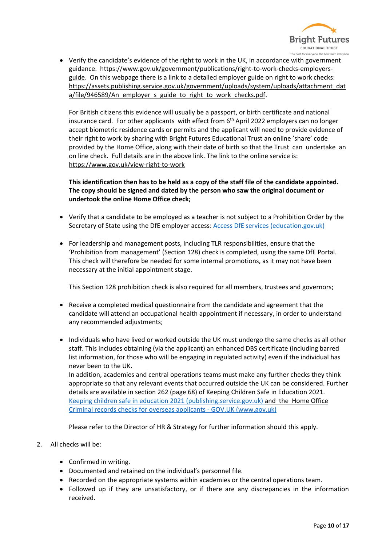

• Verify the candidate's evidence of the right to work in the UK, in accordance with government guidance. [https://www.gov.uk/government/publications/right-to-work-checks-employers](https://www.gov.uk/government/publications/right-to-work-checks-employers-guide)[guide.](https://www.gov.uk/government/publications/right-to-work-checks-employers-guide) On this webpage there is a link to a detailed employer guide on right to work checks: [https://assets.publishing.service.gov.uk/government/uploads/system/uploads/attachment\\_dat](https://assets.publishing.service.gov.uk/government/uploads/system/uploads/attachment_data/file/946589/An_employer_s_guide_to_right_to_work_checks.pdf) [a/file/946589/An\\_employer\\_s\\_guide\\_to\\_right\\_to\\_work\\_checks.pdf.](https://assets.publishing.service.gov.uk/government/uploads/system/uploads/attachment_data/file/946589/An_employer_s_guide_to_right_to_work_checks.pdf)

For British citizens this evidence will usually be a passport, or birth certificate and national insurance card. For other applicants with effect from 6<sup>th</sup> April 2022 employers can no longer accept biometric residence cards or permits and the applicant will need to provide evidence of their right to work by sharing with Bright Futures Educational Trust an online 'share' code provided by the Home Office, along with their date of birth so that the Trust can undertake an on line check. Full details are in the above link. The link to the online service is: <https://www.gov.uk/view-right-to-work>

**This identification then has to be held as a copy of the staff file of the candidate appointed. The copy should be signed and dated by the person who saw the original document or undertook the online Home Office check;**

- Verify that a candidate to be employed as a teacher is not subject to a Prohibition Order by the Secretary of State using the DfE employer access: [Access DfE services \(education.gov.uk\)](https://services.signin.education.gov.uk/my-services)
- For leadership and management posts, including TLR responsibilities, ensure that the 'Prohibition from management' (Section 128) check is completed, using the same DfE Portal. This check will therefore be needed for some internal promotions, as it may not have been necessary at the initial appointment stage.

This Section 128 prohibition check is also required for all members, trustees and governors;

- Receive a completed medical questionnaire from the candidate and agreement that the candidate will attend an occupational health appointment if necessary, in order to understand any recommended adjustments;
- Individuals who have lived or worked outside the UK must undergo the same checks as all other staff. This includes obtaining (via the applicant) an enhanced DBS certificate (including barred list information, for those who will be engaging in regulated activity) even if the individual has never been to the UK.

In addition, academies and central operations teams must make any further checks they think appropriate so that any relevant events that occurred outside the UK can be considered. Further details are available in section 262 (page 68) of Keeping Children Safe in Education 2021. [Keeping children safe in education 2021 \(publishing.service.gov.uk\)](https://assets.publishing.service.gov.uk/government/uploads/system/uploads/attachment_data/file/1007260/Keeping_children_safe_in_education_2021.pdf) and the Home Office [Criminal records checks for overseas applicants -](https://www.gov.uk/government/publications/criminal-records-checks-for-overseas-applicants) GOV.UK (www.gov.uk)

Please refer to the Director of HR & Strategy for further information should this apply.

- 2. All checks will be:
	- Confirmed in writing.
	- Documented and retained on the individual's personnel file.
	- Recorded on the appropriate systems within academies or the central operations team.
	- Followed up if they are unsatisfactory, or if there are any discrepancies in the information received.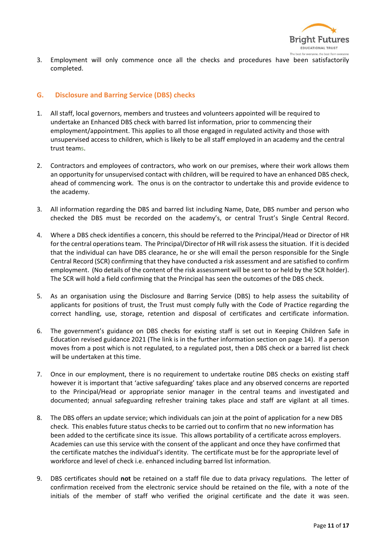

3. Employment will only commence once all the checks and procedures have been satisfactorily completed.

#### **G. Disclosure and Barring Service (DBS) checks**

- 1. All staff, local governors, members and trustees and volunteers appointed will be required to undertake an Enhanced DBS check with barred list information, prior to commencing their employment/appointment. This applies to all those engaged in regulated activity and those with unsupervised access to children, which is likely to be all staff employed in an academy and the central trust teams.
- 2. Contractors and employees of contractors, who work on our premises, where their work allows them an opportunity for unsupervised contact with children, will be required to have an enhanced DBS check, ahead of commencing work. The onus is on the contractor to undertake this and provide evidence to the academy.
- 3. All information regarding the DBS and barred list including Name, Date, DBS number and person who checked the DBS must be recorded on the academy's, or central Trust's Single Central Record.
- 4. Where a DBS check identifies a concern, this should be referred to the Principal/Head or Director of HR for the central operations team. The Principal/Director of HR will risk assess the situation. If it is decided that the individual can have DBS clearance, he or she will email the person responsible for the Single Central Record (SCR) confirming that they have conducted a risk assessment and are satisfied to confirm employment. (No details of the content of the risk assessment will be sent to or held by the SCR holder). The SCR will hold a field confirming that the Principal has seen the outcomes of the DBS check.
- 5. As an organisation using the Disclosure and Barring Service (DBS) to help assess the suitability of applicants for positions of trust, the Trust must comply fully with the Code of Practice regarding the correct handling, use, storage, retention and disposal of certificates and certificate information.
- 6. The government's guidance on DBS checks for existing staff is set out in Keeping Children Safe in Education revised guidance 2021 (The link is in the further information section on page 14). If a person moves from a post which is not regulated, to a regulated post, then a DBS check or a barred list check will be undertaken at this time.
- 7. Once in our employment, there is no requirement to undertake routine DBS checks on existing staff however it is important that 'active safeguarding' takes place and any observed concerns are reported to the Principal/Head or appropriate senior manager in the central teams and investigated and documented; annual safeguarding refresher training takes place and staff are vigilant at all times.
- 8. The DBS offers an update service; which individuals can join at the point of application for a new DBS check. This enables future status checks to be carried out to confirm that no new information has been added to the certificate since its issue. This allows portability of a certificate across employers. Academies can use this service with the consent of the applicant and once they have confirmed that the certificate matches the individual's identity. The certificate must be for the appropriate level of workforce and level of check i.e. enhanced including barred list information.
- 9. DBS certificates should **not** be retained on a staff file due to data privacy regulations. The letter of confirmation received from the electronic service should be retained on the file, with a note of the initials of the member of staff who verified the original certificate and the date it was seen.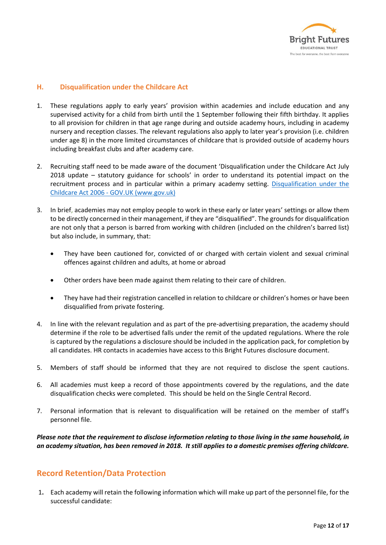

#### **H. Disqualification under the Childcare Act**

- 1. These regulations apply to early years' provision within academies and include education and any supervised activity for a child from birth until the 1 September following their fifth birthday. It applies to all provision for children in that age range during and outside academy hours, including in academy nursery and reception classes. The relevant regulations also apply to later year's provision (i.e. children under age 8) in the more limited circumstances of childcare that is provided outside of academy hours including breakfast clubs and after academy care.
- 2. Recruiting staff need to be made aware of the document 'Disqualification under the Childcare Act July 2018 update – statutory guidance for schools' in order to understand its potential impact on the recruitment process and in particular within a primary academy setting. Disqualification under the Childcare Act 2006 - [GOV.UK \(www.gov.uk\)](https://www.gov.uk/government/publications/disqualification-under-the-childcare-act-2006/disqualification-under-the-childcare-act-2006)
- 3. In brief, academies may not employ people to work in these early or later years' settings or allow them to be directly concerned in their management, if they are "disqualified". The grounds for disqualification are not only that a person is barred from working with children (included on the children's barred list) but also include, in summary, that:
	- They have been cautioned for, convicted of or charged with certain violent and sexual criminal offences against children and adults, at home or abroad
	- Other orders have been made against them relating to their care of children.
	- They have had their registration cancelled in relation to childcare or children's homes or have been disqualified from private fostering.
- 4. In line with the relevant regulation and as part of the pre-advertising preparation, the academy should determine if the role to be advertised falls under the remit of the updated regulations. Where the role is captured by the regulations a disclosure should be included in the application pack, for completion by all candidates. HR contacts in academies have access to this Bright Futures disclosure document.
- 5. Members of staff should be informed that they are not required to disclose the spent cautions.
- 6. All academies must keep a record of those appointments covered by the regulations, and the date disqualification checks were completed. This should be held on the Single Central Record.
- 7. Personal information that is relevant to disqualification will be retained on the member of staff's personnel file.

*Please note that the requirement to disclose information relating to those living in the same household, in an academy situation, has been removed in 2018. It still applies to a domestic premises offering childcare.*

### **Record Retention/Data Protection**

1**.** Each academy will retain the following information which will make up part of the personnel file, for the successful candidate: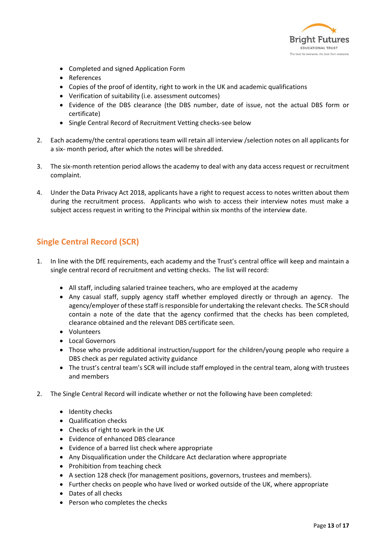

- Completed and signed Application Form
- References
- Copies of the proof of identity, right to work in the UK and academic qualifications
- Verification of suitability (i.e. assessment outcomes)
- Evidence of the DBS clearance (the DBS number, date of issue, not the actual DBS form or certificate)
- Single Central Record of Recruitment Vetting checks-see below
- 2. Each academy/the central operations team will retain all interview /selection notes on all applicants for a six- month period, after which the notes will be shredded.
- 3. The six-month retention period allows the academy to deal with any data access request or recruitment complaint.
- 4. Under the Data Privacy Act 2018, applicants have a right to request access to notes written about them during the recruitment process. Applicants who wish to access their interview notes must make a subject access request in writing to the Principal within six months of the interview date.

## **Single Central Record (SCR)**

- 1. In line with the DfE requirements, each academy and the Trust's central office will keep and maintain a single central record of recruitment and vetting checks. The list will record:
	- All staff, including salaried trainee teachers, who are employed at the academy
	- Any casual staff, supply agency staff whether employed directly or through an agency. The agency/employer of these staff is responsible for undertaking the relevant checks. The SCR should contain a note of the date that the agency confirmed that the checks has been completed, clearance obtained and the relevant DBS certificate seen.
	- Volunteers
	- Local Governors
	- Those who provide additional instruction/support for the children/young people who require a DBS check as per regulated activity guidance
	- The trust's central team's SCR will include staff employed in the central team, along with trustees and members
- 2. The Single Central Record will indicate whether or not the following have been completed:
	- Identity checks
	- Qualification checks
	- Checks of right to work in the UK
	- Evidence of enhanced DBS clearance
	- Evidence of a barred list check where appropriate
	- Any Disqualification under the Childcare Act declaration where appropriate
	- Prohibition from teaching check
	- A section 128 check (for management positions, governors, trustees and members).
	- Further checks on people who have lived or worked outside of the UK, where appropriate
	- Dates of all checks
	- Person who completes the checks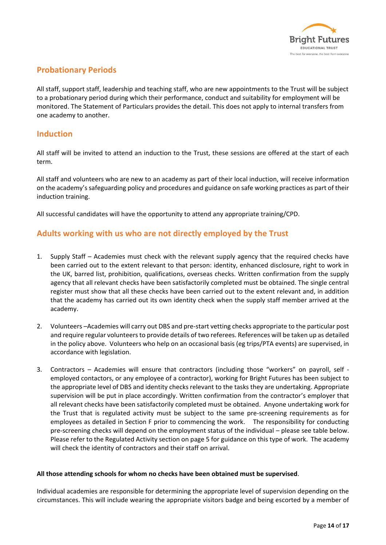

# **Probationary Periods**

All staff, support staff, leadership and teaching staff, who are new appointments to the Trust will be subject to a probationary period during which their performance, conduct and suitability for employment will be monitored. The Statement of Particulars provides the detail. This does not apply to internal transfers from one academy to another.

#### **Induction**

All staff will be invited to attend an induction to the Trust, these sessions are offered at the start of each term.

All staff and volunteers who are new to an academy as part of their local induction, will receive information on the academy's safeguarding policy and procedures and guidance on safe working practices as part of their induction training.

All successful candidates will have the opportunity to attend any appropriate training/CPD.

### **Adults working with us who are not directly employed by the Trust**

- 1. Supply Staff Academies must check with the relevant supply agency that the required checks have been carried out to the extent relevant to that person: identity, enhanced disclosure, right to work in the UK, barred list, prohibition, qualifications, overseas checks. Written confirmation from the supply agency that all relevant checks have been satisfactorily completed must be obtained. The single central register must show that all these checks have been carried out to the extent relevant and, in addition that the academy has carried out its own identity check when the supply staff member arrived at the academy.
- 2. Volunteers –Academies will carry out DBS and pre-start vetting checks appropriate to the particular post and require regular volunteers to provide details of two referees. References will be taken up as detailed in the policy above. Volunteers who help on an occasional basis (eg trips/PTA events) are supervised, in accordance with legislation.
- 3. Contractors Academies will ensure that contractors (including those "workers" on payroll, self employed contactors, or any employee of a contractor), working for Bright Futures has been subject to the appropriate level of DBS and identity checks relevant to the tasks they are undertaking. Appropriate supervision will be put in place accordingly. Written confirmation from the contractor's employer that all relevant checks have been satisfactorily completed must be obtained. Anyone undertaking work for the Trust that is regulated activity must be subject to the same pre-screening requirements as for employees as detailed in Section F prior to commencing the work. The responsibility for conducting pre-screening checks will depend on the employment status of the individual – please see table below. Please refer to the Regulated Activity section on page 5 for guidance on this type of work. The academy will check the identity of contractors and their staff on arrival.

#### **All those attending schools for whom no checks have been obtained must be supervised**.

Individual academies are responsible for determining the appropriate level of supervision depending on the circumstances. This will include wearing the appropriate visitors badge and being escorted by a member of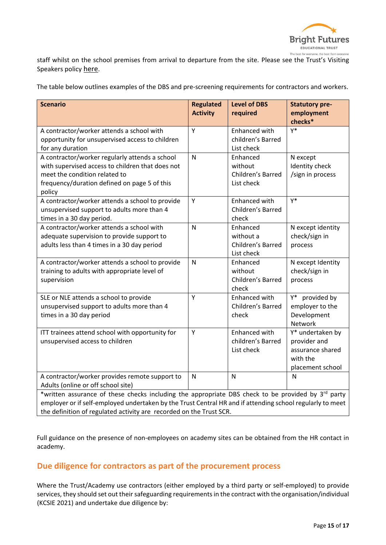

staff whilst on the school premises from arrival to departure from the site. Please see the Trust's Visiting Speakers policy [here](http://bfet.co.uk/wp-content/uploads/2020/06/Visiting-Speakers-Policy-May-2020-1.pdf).

The table below outlines examples of the DBS and pre-screening requirements for contractors and workers.

| <b>Scenario</b>                                                                                                                                                                                        | <b>Regulated</b><br><b>Activity</b> | <b>Level of DBS</b><br>required                          | <b>Statutory pre-</b><br>employment<br>checks*                                       |  |
|--------------------------------------------------------------------------------------------------------------------------------------------------------------------------------------------------------|-------------------------------------|----------------------------------------------------------|--------------------------------------------------------------------------------------|--|
| A contractor/worker attends a school with<br>opportunity for unsupervised access to children<br>for any duration                                                                                       | Y                                   | Enhanced with<br>children's Barred<br>List check         | γ*                                                                                   |  |
| A contractor/worker regularly attends a school<br>with supervised access to children that does not<br>meet the condition related to<br>frequency/duration defined on page 5 of this<br>policy          | N                                   | Enhanced<br>without<br>Children's Barred<br>List check   | N except<br>Identity check<br>/sign in process                                       |  |
| A contractor/worker attends a school to provide<br>unsupervised support to adults more than 4<br>times in a 30 day period.                                                                             | Υ                                   | Enhanced with<br>Children's Barred<br>check              | γ*                                                                                   |  |
| A contractor/worker attends a school with<br>adequate supervision to provide support to<br>adults less than 4 times in a 30 day period                                                                 | N                                   | Enhanced<br>without a<br>Children's Barred<br>List check | N except identity<br>check/sign in<br>process                                        |  |
| A contractor/worker attends a school to provide<br>training to adults with appropriate level of<br>supervision                                                                                         | N                                   | Enhanced<br>without<br>Children's Barred<br>check        | N except Identity<br>check/sign in<br>process                                        |  |
| SLE or NLE attends a school to provide<br>unsupervised support to adults more than 4<br>times in a 30 day period                                                                                       | Y                                   | Enhanced with<br>Children's Barred<br>check              | provided by<br>Y*<br>employer to the<br>Development<br>Network                       |  |
| ITT trainees attend school with opportunity for<br>unsupervised access to children                                                                                                                     | Y                                   | Enhanced with<br>children's Barred<br>List check         | Y* undertaken by<br>provider and<br>assurance shared<br>with the<br>placement school |  |
| A contractor/worker provides remote support to<br>Adults (online or off school site)<br>*written assurance of these checks including the appropriate DBS check to be provided by 3 <sup>rd</sup> party | ${\sf N}$                           | N                                                        | $\mathsf{N}$                                                                         |  |
| employer or if self-employed undertaken by the Trust Central HR and if attending school regularly to meet                                                                                              |                                     |                                                          |                                                                                      |  |

the definition of regulated activity are recorded on the Trust SCR.

Full guidance on the presence of non-employees on academy sites can be obtained from the HR contact in academy.

# **Due diligence for contractors as part of the procurement process**

Where the Trust/Academy use contractors (either employed by a third party or self-employed) to provide services, they should set out their safeguarding requirements in the contract with the organisation/individual (KCSIE 2021) and undertake due diligence by: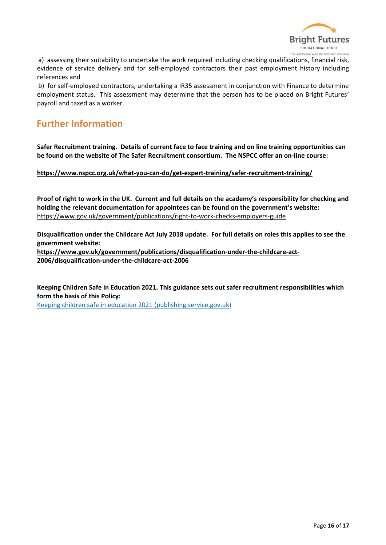

a) assessing their suitability to undertake the work required including checking qualifications, financial risk, evidence of service delivery and for self-employed contractors their past employment history including references and

b) for self-employed contractors, undertaking a IR35 assessment in conjunction with Finance to determine employment status. This assessment may determine that the person has to be placed on Bright Futures' payroll and taxed as a worker.

# **Further Information**

**Safer Recruitment training. Details of current face to face training and on line training opportunities can be found on the website of The Safer Recruitment consortium. The NSPCC offer an on-line course:** 

**<https://www.nspcc.org.uk/what-you-can-do/get-expert-training/safer-recruitment-training/>**

**Proof of right to work in the UK. Current and full details on the academy's responsibility for checking and holding the relevant documentation for appointees can be found on the government's website:** <https://www.gov.uk/government/publications/right-to-work-checks-employers-guide>

**Disqualification under the Childcare Act July 2018 update. For full details on roles this applies to see the government website:** 

**[https://www.gov.uk/government/publications/disqualification-under-the-childcare-act-](https://www.gov.uk/government/publications/disqualification-under-the-childcare-act-2006/disqualification-under-the-childcare-act-2006)[2006/disqualification-under-the-childcare-act-2006](https://www.gov.uk/government/publications/disqualification-under-the-childcare-act-2006/disqualification-under-the-childcare-act-2006)**

**Keeping Children Safe in Education 2021. This guidance sets out safer recruitment responsibilities which form the basis of this Policy:**

[Keeping children safe in education 2021 \(publishing.service.gov.uk\)](https://assets.publishing.service.gov.uk/government/uploads/system/uploads/attachment_data/file/1007260/Keeping_children_safe_in_education_2021.pdf)